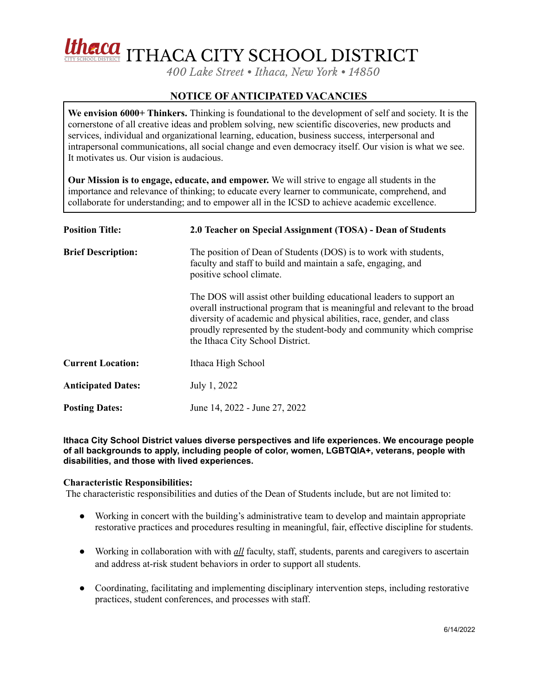

*400 Lake Street • Ithaca, New York • 14850*

# **NOTICE OF ANTICIPATED VACANCIES**

**We envision 6000+ Thinkers.** Thinking is foundational to the development of self and society. It is the cornerstone of all creative ideas and problem solving, new scientific discoveries, new products and services, individual and organizational learning, education, business success, interpersonal and intrapersonal communications, all social change and even democracy itself. Our vision is what we see. It motivates us. Our vision is audacious.

**Our Mission is to engage, educate, and empower.** We will strive to engage all students in the importance and relevance of thinking; to educate every learner to communicate, comprehend, and collaborate for understanding; and to empower all in the ICSD to achieve academic excellence.

| <b>Position Title:</b>    | 2.0 Teacher on Special Assignment (TOSA) - Dean of Students                                                                                                                                                                                                                                                                             |
|---------------------------|-----------------------------------------------------------------------------------------------------------------------------------------------------------------------------------------------------------------------------------------------------------------------------------------------------------------------------------------|
| <b>Brief Description:</b> | The position of Dean of Students (DOS) is to work with students,<br>faculty and staff to build and maintain a safe, engaging, and<br>positive school climate.                                                                                                                                                                           |
|                           | The DOS will assist other building educational leaders to support an<br>overall instructional program that is meaningful and relevant to the broad<br>diversity of academic and physical abilities, race, gender, and class<br>proudly represented by the student-body and community which comprise<br>the Ithaca City School District. |
| <b>Current Location:</b>  | Ithaca High School                                                                                                                                                                                                                                                                                                                      |
| <b>Anticipated Dates:</b> | July 1, 2022                                                                                                                                                                                                                                                                                                                            |
| <b>Posting Dates:</b>     | June 14, 2022 - June 27, 2022                                                                                                                                                                                                                                                                                                           |

#### **Ithaca City School District values diverse perspectives and life experiences. We encourage people of all backgrounds to apply, including people of color, women, LGBTQIA+, veterans, people with disabilities, and those with lived experiences.**

#### **Characteristic Responsibilities:**

The characteristic responsibilities and duties of the Dean of Students include, but are not limited to:

- Working in concert with the building's administrative team to develop and maintain appropriate restorative practices and procedures resulting in meaningful, fair, effective discipline for students.
- Working in collaboration with with *all* faculty, staff, students, parents and caregivers to ascertain and address at-risk student behaviors in order to support all students.
- Coordinating, facilitating and implementing disciplinary intervention steps, including restorative practices, student conferences, and processes with staff.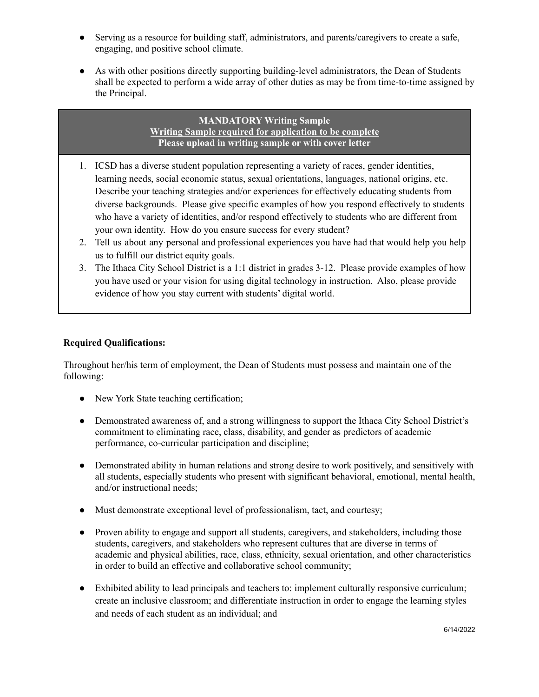- Serving as a resource for building staff, administrators, and parents/caregivers to create a safe, engaging, and positive school climate.
- As with other positions directly supporting building-level administrators, the Dean of Students shall be expected to perform a wide array of other duties as may be from time-to-time assigned by the Principal.

## **MANDATORY Writing Sample Writing Sample required for application to be complete Please upload in writing sample or with cover letter**

- 1. ICSD has a diverse student population representing a variety of races, gender identities, learning needs, social economic status, sexual orientations, languages, national origins, etc. Describe your teaching strategies and/or experiences for effectively educating students from diverse backgrounds. Please give specific examples of how you respond effectively to students who have a variety of identities, and/or respond effectively to students who are different from your own identity. How do you ensure success for every student?
- 2. Tell us about any personal and professional experiences you have had that would help you help us to fulfill our district equity goals.
- 3. The Ithaca City School District is a 1:1 district in grades 3-12. Please provide examples of how you have used or your vision for using digital technology in instruction. Also, please provide evidence of how you stay current with students' digital world.

### **Required Qualifications:**

Throughout her/his term of employment, the Dean of Students must possess and maintain one of the following:

- New York State teaching certification;
- Demonstrated awareness of, and a strong willingness to support the Ithaca City School District's commitment to eliminating race, class, disability, and gender as predictors of academic performance, co-curricular participation and discipline;
- Demonstrated ability in human relations and strong desire to work positively, and sensitively with all students, especially students who present with significant behavioral, emotional, mental health, and/or instructional needs;
- Must demonstrate exceptional level of professionalism, tact, and courtesy;
- Proven ability to engage and support all students, caregivers, and stakeholders, including those students, caregivers, and stakeholders who represent cultures that are diverse in terms of academic and physical abilities, race, class, ethnicity, sexual orientation, and other characteristics in order to build an effective and collaborative school community;
- Exhibited ability to lead principals and teachers to: implement culturally responsive curriculum; create an inclusive classroom; and differentiate instruction in order to engage the learning styles and needs of each student as an individual; and